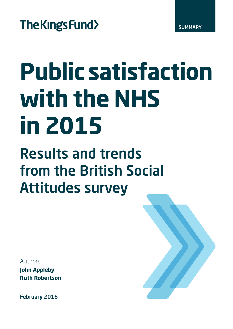**SUMMARY** 

# The King's Fund

# **Public satisfaction with the NHS in 2015**

Results and trends from the British Social Attitudes survey

Authors

**John Appleby Ruth Robertson**

February 2016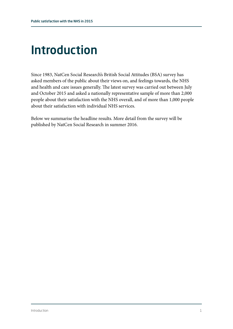# Introduction

Since 1983, NatCen Social Research's British Social Attitudes (BSA) survey has asked members of the public about their views on, and feelings towards, the NHS and health and care issues generally. The latest survey was carried out between July and October 2015 and asked a nationally representative sample of more than 2,000 people about their satisfaction with the NHS overall, and of more than 1,000 people about their satisfaction with individual NHS services.

Below we summarise the headline results. More detail from the survey will be published by NatCen Social Research in summer 2016.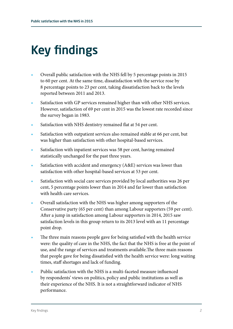# Key findings

- **•** Overall public satisfaction with the NHS fell by 5 percentage points in 2015 to 60 per cent. At the same time, dissatisfaction with the service rose by 8 percentage points to 23 per cent, taking dissatisfaction back to the levels reported between 2011 and 2013.
- **•** Satisfaction with GP services remained higher than with other NHS services. However, satisfaction of 69 per cent in 2015 was the lowest rate recorded since the survey began in 1983.
- **•** Satisfaction with NHS dentistry remained flat at 54 per cent.
- **•** Satisfaction with outpatient services also remained stable at 66 per cent, but was higher than satisfaction with other hospital-based services.
- **•** Satisfaction with inpatient services was 58 per cent, having remained statistically unchanged for the past three years.
- **•** Satisfaction with accident and emergency (A&E) services was lower than satisfaction with other hospital-based services at 53 per cent.
- **•** Satisfaction with social care services provided by local authorities was 26 per cent, 5 percentage points lower than in 2014 and far lower than satisfaction with health care services.
- **•** Overall satisfaction with the NHS was higher among supporters of the Conservative party (65 per cent) than among Labour supporters (59 per cent). After a jump in satisfaction among Labour supporters in 2014, 2015 saw satisfaction levels in this group return to its 2013 level with an 11 percentage point drop.
- **•** The three main reasons people gave for being satisfied with the health service were: the quality of care in the NHS, the fact that the NHS is free at the point of use, and the range of services and treatments available.The three main reasons that people gave for being dissatisfied with the health service were: long waiting times, staff shortages and lack of funding.
- **•** Public satisfaction with the NHS is a multi-faceted measure influenced by respondents' views on politics, policy and public institutions as well as their experience of the NHS. It is not a straightforward indicator of NHS performance.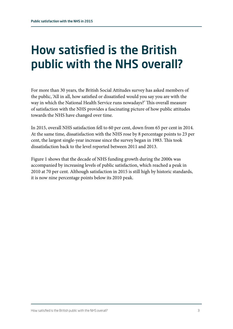## How satisfied is the British public with the NHS overall?

For more than 30 years, the British Social Attitudes survey has asked members of the public, 'All in all, how satisfied or dissatisfied would you say you are with the way in which the National Health Service runs nowadays?' This overall measure of satisfaction with the NHS provides a fascinating picture of how public attitudes towards the NHS have changed over time.

In 2015, overall NHS satisfaction fell to 60 per cent, down from 65 per cent in 2014. At the same time, dissatisfaction with the NHS rose by 8 percentage points to 23 per cent, the largest single-year increase since the survey began in 1983. This took dissatisfaction back to the level reported between 2011 and 2013.

Figure 1 shows that the decade of NHS funding growth during the 2000s was accompanied by increasing levels of public satisfaction, which reached a peak in 2010 at 70 per cent. Although satisfaction in 2015 is still high by historic standards, it is now nine percentage points below its 2010 peak.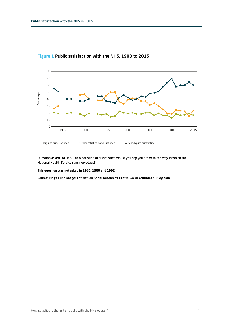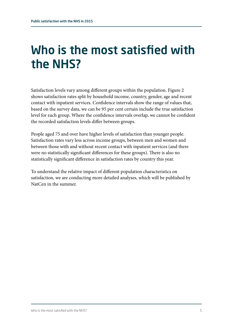### Who is the most satisfied with the NHS?

Satisfaction levels vary among different groups within the population. Figure 2 shows satisfaction rates split by household income, country, gender, age and recent contact with inpatient services. Confidence intervals show the range of values that, based on the survey data, we can be 95 per cent certain include the true satisfaction level for each group. Where the confidence intervals overlap, we cannot be confident the recorded satisfaction levels differ between groups.

People aged 75 and over have higher levels of satisfaction than younger people. Satisfaction rates vary less across income groups, between men and women and between those with and without recent contact with inpatient services (and there were no statistically significant differences for these groups). There is also no statistically significant difference in satisfaction rates by country this year.

To understand the relative impact of different population characteristics on satisfaction, we are conducting more detailed analyses, which will be published by NatCen in the summer.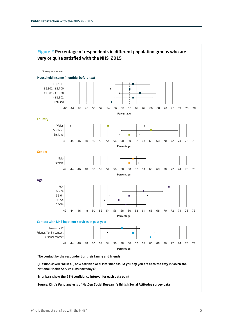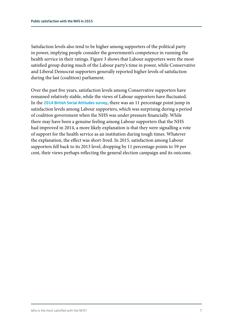Satisfaction levels also tend to be higher among supporters of the political party in power, implying people consider the government's competence in running the health service in their ratings. Figure 3 shows that Labour supporters were the most satisfied group during much of the Labour party's time in power, while Conservative and Liberal Democrat supporters generally reported higher levels of satisfaction during the last (coalition) parliament.

Over the past five years, satisfaction levels among Conservative supporters have remained relatively stable, while the views of Labour supporters have fluctuated. In the [2014 British Social Attitudes survey](http://www.kingsfund.org.uk/projects/bsa-survey-2014), there was an 11 percentage point jump in satisfaction levels among Labour supporters, which was surprising during a period of coalition government when the NHS was under pressure financially. While there may have been a genuine feeling among Labour supporters that the NHS had improved in 2014, a more likely explanation is that they were signalling a vote of support for the health service as an institution during tough times. Whatever the explanation, the effect was short-lived. In 2015, satisfaction among Labour supporters fell back to its 2013 level, dropping by 11 percentage points to 59 per cent, their views perhaps reflecting the general election campaign and its outcome.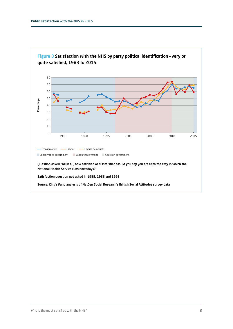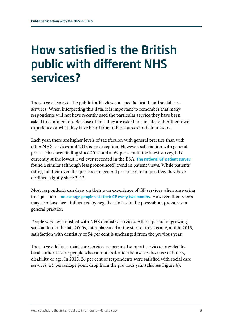## How satisfied is the British public with different NHS services?

The survey also asks the public for its views on specific health and social care services. When interpreting this data, it is important to remember that many respondents will not have recently used the particular service they have been asked to comment on. Because of this, they are asked to consider either their own experience or what they have heard from other sources in their answers.

Each year, there are higher levels of satisfaction with general practice than with other NHS services and 2015 is no exception. However, satisfaction with general practice has been falling since 2010 and at 69 per cent in the latest survey, it is currently at the lowest level ever recorded in the BSA. [The national GP patient survey](http://gp-survey-production.s3.amazonaws.com/archive/2016/January/January+2016+National+Summary+Report.pdf) found a similar (although less pronounced) trend in patient views. While patients' ratings of their overall experience in general practice remain positive, they have declined slightly since 2012.

Most respondents can draw on their own experience of GP services when answering this question  $-$  [on average people visit their GP every two months](http://www.hscic.gov.uk/pubs/gpcons95-09). However, their views may also have been influenced by negative stories in the press about pressures in general practice.

People were less satisfied with NHS dentistry services. After a period of growing satisfaction in the late 2000s, rates plateaued at the start of this decade, and in 2015, satisfaction with dentistry of 54 per cent is unchanged from the previous year.

The survey defines social care services as personal support services provided by local authorities for people who cannot look after themselves because of illness, disability or age. In 2015, 26 per cent of respondents were satisfied with social care services, a 5 percentage point drop from the previous year (also *see* Figure 6).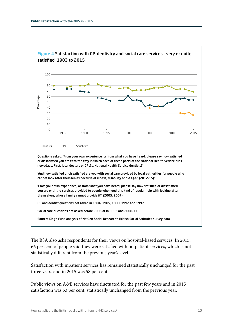

Figure 4 Satisfaction with GP, dentistry and social care services – very or quite

'From your own experience, or from what you have heard, please say how satisfied or dissatisfied you are with the services provided to people who need this kind of regular help with looking after themselves, whose family cannot provide it?' (2005, 2007)

GP and dentist questions not asked in 1984, 1985, 1988, 1992 and 1997

Social care questions not asked before 2005 or in 2006 and 2008–11

The BSA also asks respondents for their views on hospital-based services. In 2015, 66 per cent of people said they were satisfied with outpatient services, which is not statistically different from the previous year's level.

Satisfaction with inpatient services has remained statistically unchanged for the past three years and in 2015 was 58 per cent.

Public views on A&E services have fluctuated for the past few years and in 2015 satisfaction was 53 per cent, statistically unchanged from the previous year.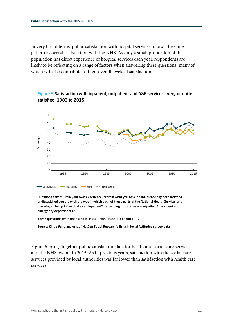In very broad terms, public satisfaction with hospital services follows the same pattern as overall satisfaction with the NHS. As only a small proportion of the population has direct experience of hospital services each year, respondents are likely to be reflecting on a range of factors when answering these questions, many of which will also contribute to their overall levels of satisfaction.



Figure 6 brings together public satisfaction data for health and social care services and the NHS overall in 2015. As in previous years, satisfaction with the social care services provided by local authorities was far lower than satisfaction with health care services.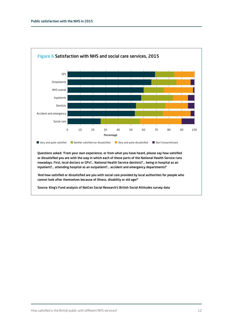

Questions asked: 'From your own experience, or from what you have heard, please say how satisfied or dissatisfied you are with the way in which each of these parts of the National Health Service runs nowadays. First, local doctors or GPs?… National Health Service dentists?'… being in hospital as an inpatient?… attending hospital as an outpatient?… accident and emergency departments?'

'And how satisfied or dissatisfied are you with social care provided by local authorities for people who cannot look after themselves because of illness, disability or old age?'

Source: King's Fund analysis of NatCen Social Research's British Social Attitudes survey data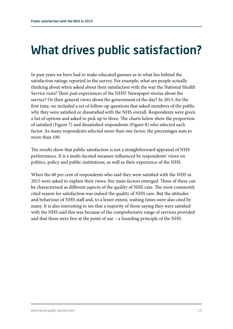# What drives public satisfaction?

In past years we have had to make educated guesses as to what lies behind the satisfaction ratings reported in the survey. For example, what are people actually thinking about when asked about their satisfaction with the way the National Health Service runs? Their past experiences of the NHS? Newspaper stories about the service? Or their general views about the government of the day? In 2015, for the first time, we included a set of follow-up questions that asked members of the public why they were satisfied or dissatisfied with the NHS overall. Respondents were given a list of options and asked to pick up to three. The charts below show the proportion of satisfied (Figure 7) and dissatisfied respondents (Figure 8) who selected each factor. As many respondents selected more than one factor, the percentages sum to more than 100.

The results show that public satisfaction is not a straightforward appraisal of NHS performance. It is a multi-faceted measure influenced by respondents' views on politics, policy and public institutions, as well as their experience of the NHS.

When the 60 per cent of respondents who said they were satisfied with the NHS in 2015 were asked to explain their views, five main factors emerged. Three of these can be characterised as different aspects of the quality of NHS care. The most commonly cited reason for satisfaction was indeed the quality of NHS care. But the attitudes and behaviour of NHS staff and, to a lesser extent, waiting times were also cited by many. It is also interesting to see that a majority of those saying they were satisfied with the NHS said this was because of the comprehensive range of services provided and that these were free at the point of use – a founding principle of the NHS.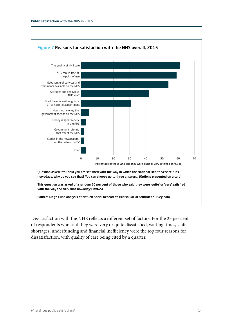

Dissatisfaction with the NHS reflects a different set of factors. For the 23 per cent of respondents who said they were very or quite dissatisfied, waiting times, staff shortages, underfunding and financial inefficiency were the top four reasons for dissatisfaction, with quality of care being cited by a quarter.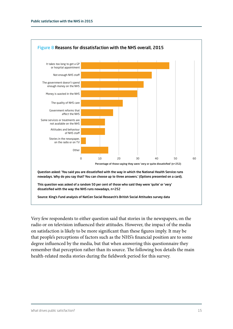

Very few respondents to either question said that stories in the newspapers, on the radio or on television influenced their attitudes. However, the impact of the media on satisfaction is likely to be more significant than these figures imply. It may be that people's perceptions of factors such as the NHS's financial position are to some degree influenced by the media, but that when answering this questionnaire they remember that perception rather than its source. The following box details the main health-related media stories during the fieldwork period for this survey.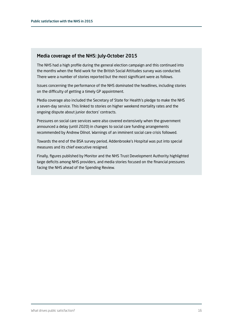#### Media coverage of the NHS: July–October 2015

The NHS had a high profile during the general election campaign and this continued into the months when the field work for the British Social Attitudes survey was conducted. There were a number of stories reported but the most significant were as follows.

Issues concerning the performance of the NHS dominated the headlines, including stories on the difficulty of getting a timely GP appointment.

Media coverage also included the Secretary of State for Health's pledge to make the NHS a seven-day service. This linked to stories on higher weekend mortality rates and the ongoing dispute about junior doctors' contracts.

Pressures on social care services were also covered extensively when the government announced a delay (until 2020) in changes to social care funding arrangements recommended by Andrew Dilnot. Warnings of an imminent social care crisis followed.

Towards the end of the BSA survey period, Addenbrooke's Hospital was put into special measures and its chief executive resigned.

Finally, figures published by Monitor and the NHS Trust Development Authority highlighted large deficits among NHS providers, and media stories focused on the financial pressures facing the NHS ahead of the Spending Review.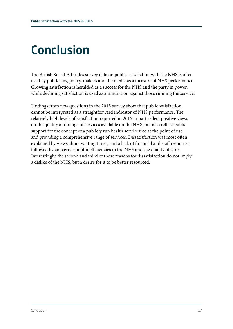# Conclusion

The British Social Attitudes survey data on public satisfaction with the NHS is often used by politicians, policy-makers and the media as a measure of NHS performance. Growing satisfaction is heralded as a success for the NHS and the party in power, while declining satisfaction is used as ammunition against those running the service.

Findings from new questions in the 2015 survey show that public satisfaction cannot be interpreted as a straightforward indicator of NHS performance. The relatively high levels of satisfaction reported in 2015 in part reflect positive views on the quality and range of services available on the NHS, but also reflect public support for the concept of a publicly run health service free at the point of use and providing a comprehensive range of services. Dissatisfaction was most often explained by views about waiting times, and a lack of financial and staff resources followed by concerns about inefficiencies in the NHS and the quality of care. Interestingly, the second and third of these reasons for dissatisfaction do not imply a dislike of the NHS, but a desire for it to be better resourced.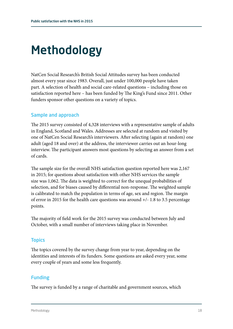# Methodology

NatCen Social Research's British Social Attitudes survey has been conducted almost every year since 1983. Overall, just under 100,000 people have taken part. A selection of health and social care-related questions – including those on satisfaction reported here – has been funded by The King's Fund since 2011. Other funders sponsor other questions on a variety of topics.

#### Sample and approach

The 2015 survey consisted of 4,328 interviews with a representative sample of adults in England, Scotland and Wales. Addresses are selected at random and visited by one of NatCen Social Research's interviewers. After selecting (again at random) one adult (aged 18 and over) at the address, the interviewer carries out an hour-long interview. The participant answers most questions by selecting an answer from a set of cards.

The sample size for the overall NHS satisfaction question reported here was 2,167 in 2015; for questions about satisfaction with other NHS services the sample size was 1,062. The data is weighted to correct for the unequal probabilities of selection, and for biases caused by differential non-response. The weighted sample is calibrated to match the population in terms of age, sex and region. The margin of error in 2015 for the health care questions was around +/- 1.8 to 3.5 percentage points.

The majority of field work for the 2015 survey was conducted between July and October, with a small number of interviews taking place in November.

#### **Topics**

The topics covered by the survey change from year to year, depending on the identities and interests of its funders. Some questions are asked every year, some every couple of years and some less frequently.

#### Funding

The survey is funded by a range of charitable and government sources, which